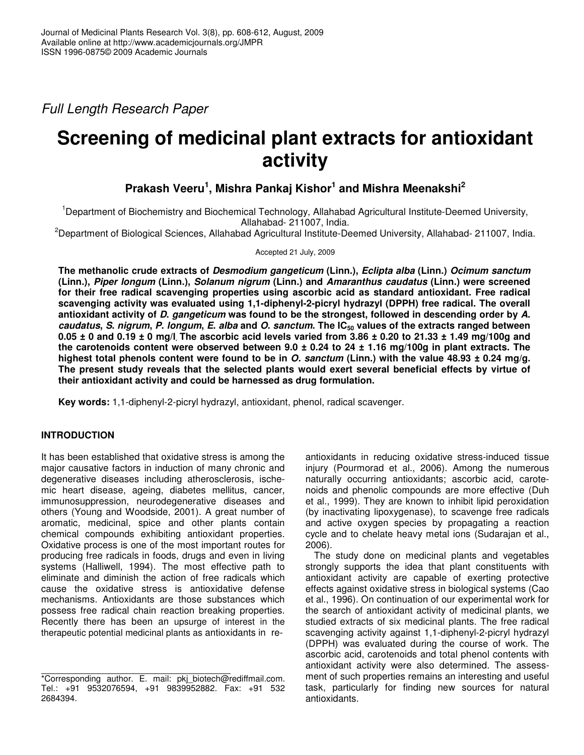*Full Length Research Paper*

# **Screening of medicinal plant extracts for antioxidant activity**

# **Prakash Veeru 1 , Mishra Pankaj Kishor 1 and Mishra Meenakshi 2**

<sup>1</sup>Department of Biochemistry and Biochemical Technology, Allahabad Agricultural Institute-Deemed University, Allahabad- 211007, India.

<sup>2</sup>Department of Biological Sciences, Allahabad Agricultural Institute-Deemed University, Allahabad- 211007, India.

Accepted 21 July, 2009

**The methanolic crude extracts of** *Desmodium gangeticum* **(Linn.),** *Eclipta alba* **(Linn.)** *Ocimum sanctum* **(Linn.),** *Piper longum* **(Linn.),** *Solanum nigrum* **(Linn.) and** *Amaranthus caudatus* **(Linn.) were screened for their free radical scavenging properties using ascorbic acid as standard antioxidant. Free radical scavenging activity was evaluated using 1,1-diphenyl-2-picryl hydrazyl (DPPH) free radical. The overall** antioxidant activity of D. gangeticum was found to be the strongest, followed in descending order by A. caudatus, S. nigrum, P. longum, E. alba and O. sanctum. The IC<sub>50</sub> values of the extracts ranged between  $0.05 \pm 0$  and  $0.19 \pm 0$  mg/l The ascorbic acid levels varied from 3.86  $\pm$  0.20 to 21.33  $\pm$  1.49 mg/100g and the carotenoids content were observed between  $9.0 \pm 0.24$  to  $24 \pm 1.16$  mg/100g in plant extracts. The highest total phenols content were found to be in O. sanctum (Linn.) with the value 48.93  $\pm$  0.24 mg/g. **The present study reveals that the selected plants would exert several beneficial effects by virtue of their antioxidant activity and could be harnessed as drug formulation.**

**Key words:** 1,1-diphenyl-2-picryl hydrazyl, antioxidant, phenol, radical scavenger.

### **INTRODUCTION**

It has been established that oxidative stress is among the major causative factors in induction of many chronic and degenerative diseases including atherosclerosis, ischemic heart disease, ageing, diabetes mellitus, cancer, immunosuppression, neurodegenerative diseases and others (Young and Woodside, 2001). A great number of aromatic, medicinal, spice and other plants contain chemical compounds exhibiting antioxidant properties. Oxidative process is one of the most important routes for producing free radicals in foods, drugs and even in living systems (Halliwell, 1994). The most effective path to eliminate and diminish the action of free radicals which cause the oxidative stress is antioxidative defense mechanisms. Antioxidants are those substances which possess free radical chain reaction breaking properties. Recently there has been an upsurge of interest in the therapeutic potential medicinal plants as antioxidants in reantioxidants in reducing oxidative stress-induced tissue injury (Pourmorad et al., 2006). Among the numerous naturally occurring antioxidants; ascorbic acid, carotenoids and phenolic compounds are more effective (Duh et al., 1999). They are known to inhibit lipid peroxidation (by inactivating lipoxygenase), to scavenge free radicals and active oxygen species by propagating a reaction cycle and to chelate heavy metal ions (Sudarajan et al., 2006).

The study done on medicinal plants and vegetables strongly supports the idea that plant constituents with antioxidant activity are capable of exerting protective effects against oxidative stress in biological systems (Cao et al., 1996). On continuation of our experimental work for the search of antioxidant activity of medicinal plants, we studied extracts of six medicinal plants. The free radical scavenging activity against 1,1-diphenyl-2-picryl hydrazyl (DPPH) was evaluated during the course of work. The ascorbic acid, carotenoids and total phenol contents with antioxidant activity were also determined. The assessment of such properties remains an interesting and useful task, particularly for finding new sources for natural antioxidants.

<sup>\*</sup>Corresponding author. E. mail: pkj biotech@rediffmail.com. Tel.: +91 9532076594, +91 9839952882. Fax: +91 532 2684394.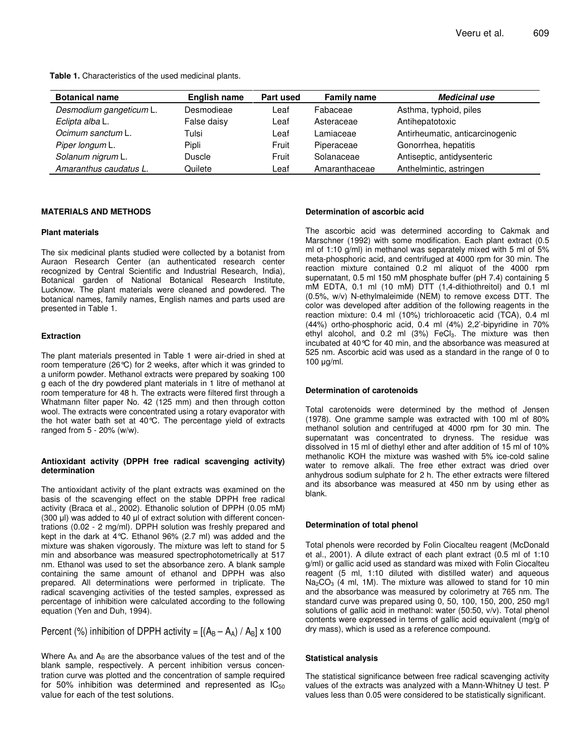**Table 1.** Characteristics of the used medicinal plants.

| <b>Botanical name</b>   | <b>English name</b> | Part used | <b>Family name</b> | <b>Medicinal use</b>            |
|-------------------------|---------------------|-----------|--------------------|---------------------------------|
| Desmodium gangeticum L. | Desmodieae          | Leaf      | Fabaceae           | Asthma, typhoid, piles          |
| Eclipta alba L.         | False daisy         | Leaf      | Asteraceae         | Antihepatotoxic                 |
| Ocimum sanctum L.       | Tulsi               | Leaf      | Lamiaceae          | Antirheumatic, anticarcinogenic |
| Piper longum L.         | Pipli               | Fruit     | Piperaceae         | Gonorrhea, hepatitis            |
| Solanum nigrum L.       | Duscle              | Fruit     | Solanaceae         | Antiseptic, antidysenteric      |
| Amaranthus caudatus L.  | Quilete             | Leaf      | Amaranthaceae      | Anthelmintic, astringen         |

#### **MATERIALS AND METHODS**

#### **Plant materials**

The six medicinal plants studied were collected by a botanist from Auraon Research Center (an authenticated research center recognized by Central Scientific and Industrial Research, India), Botanical garden of National Botanical Research Institute, Lucknow. The plant materials were cleaned and powdered. The botanical names, family names, English names and parts used are presented in Table 1.

#### **Extraction**

The plant materials presented in Table 1 were air-dried in shed at room temperature (26°C) for 2 weeks, after which it was grinded to a uniform powder. Methanol extracts were prepared by soaking 100 g each of the dry powdered plant materials in 1 litre of methanol at room temperature for 48 h. The extracts were filtered first through a Whatmann filter paper No. 42 (125 mm) and then through cotton wool. The extracts were concentrated using a rotary evaporator with the hot water bath set at 40°C. The percentage yield of extracts ranged from 5 - 20% (w/w).

#### **Antioxidant activity (DPPH free radical scavenging activity) determination**

The antioxidant activity of the plant extracts was examined on the basis of the scavenging effect on the stable DPPH free radical activity (Braca et al., 2002). Ethanolic solution of DPPH (0.05 mM) (300  $\mu$ I) was added to 40  $\mu$ I of extract solution with different concentrations (0.02 - 2 mg/ml). DPPH solution was freshly prepared and kept in the dark at 4°C. Ethanol 96% (2.7 ml) was added and the mixture was shaken vigorously. The mixture was left to stand for 5 min and absorbance was measured spectrophotometrically at 517 nm. Ethanol was used to set the absorbance zero. A blank sample containing the same amount of ethanol and DPPH was also prepared. All determinations were performed in triplicate. The radical scavenging activities of the tested samples, expressed as percentage of inhibition were calculated according to the following equation (Yen and Duh, 1994).

Percent (%) inhibition of DPPH activity =  $[(A_B - A_A) / A_B] \times 100$ 

Where  $A_A$  and  $A_B$  are the absorbance values of the test and of the blank sample, respectively. A percent inhibition versus concentration curve was plotted and the concentration of sample required for 50% inhibition was determined and represented as  $IC_{50}$ value for each of the test solutions.

#### **Determination of ascorbic acid**

The ascorbic acid was determined according to Cakmak and Marschner (1992) with some modification. Each plant extract (0.5 ml of 1:10 g/ml) in methanol was separately mixed with 5 ml of 5% meta-phosphoric acid, and centrifuged at 4000 rpm for 30 min. The reaction mixture contained 0.2 ml aliquot of the 4000 rpm supernatant, 0.5 ml 150 mM phosphate buffer (pH 7.4) containing 5 mM EDTA, 0.1 ml (10 mM) DTT (1,4-dithiothreitol) and 0.1 ml (0.5%, w/v) N-ethylmaleimide (NEM) to remove excess DTT. The color was developed after addition of the following reagents in the reaction mixture: 0.4 ml (10%) trichloroacetic acid (TCA), 0.4 ml (44%) ortho-phosphoric acid, 0.4 ml (4%) 2,2'-bipyridine in 70% ethyl alcohol, and 0.2 ml  $(3%)$  FeCl<sub>3</sub>. The mixture was then incubated at 40°C for 40 min, and the absorbance was measured at 525 nm. Ascorbic acid was used as a standard in the range of 0 to 100  $\mu$ g/ml.

#### **Determination of carotenoids**

Total carotenoids were determined by the method of Jensen (1978). One gramme sample was extracted with 100 ml of 80% methanol solution and centrifuged at 4000 rpm for 30 min. The supernatant was concentrated to dryness. The residue was dissolved in 15 ml of diethyl ether and after addition of 15 ml of 10% methanolic KOH the mixture was washed with 5% ice-cold saline water to remove alkali. The free ether extract was dried over anhydrous sodium sulphate for 2 h. The ether extracts were filtered and its absorbance was measured at 450 nm by using ether as blank.

#### **Determination of total phenol**

Total phenols were recorded by Folin Ciocalteu reagent (McDonald et al., 2001). A dilute extract of each plant extract (0.5 ml of 1:10 g/ml) or gallic acid used as standard was mixed with Folin Ciocalteu reagent (5 ml, 1:10 diluted with distilled water) and aqueous  $Na<sub>2</sub>CO<sub>3</sub>$  (4 ml, 1M). The mixture was allowed to stand for 10 min and the absorbance was measured by colorimetry at 765 nm. The standard curve was prepared using 0, 50, 100, 150, 200, 250 mg/l solutions of gallic acid in methanol: water (50:50, v/v). Total phenol contents were expressed in terms of gallic acid equivalent (mg/g of dry mass), which is used as a reference compound.

#### **Statistical analysis**

The statistical significance between free radical scavenging activity values of the extracts was analyzed with a Mann-Whitney U test. P values less than 0.05 were considered to be statistically significant.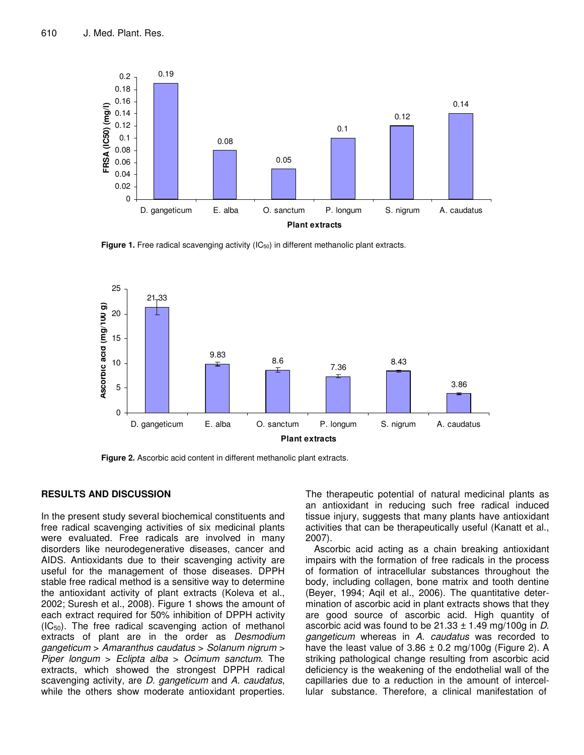

**Figure 1.** Free radical scavenging activity (IC<sub>50</sub>) in different methanolic plant extracts.



**Figure 2.** Ascorbic acid content in different methanolic plant extracts.

## **RESULTS AND DISCUSSION**

In the present study several biochemical constituents and free radical scavenging activities of six medicinal plants were evaluated. Free radicals are involved in many disorders like neurodegenerative diseases, cancer and AIDS. Antioxidants due to their scavenging activity are useful for the management of those diseases. DPPH stable free radical method is a sensitive way to determine the antioxidant activity of plant extracts (Koleva et al., 2002; Suresh et al., 2008). Figure 1 shows the amount of each extract required for 50% inhibition of DPPH activity  $(IC_{50})$ . The free radical scavenging action of methanol extracts of plant are in the order as *Desmodium gangeticum* > *Amaranthus caudatus* > *Solanum nigrum* > *Piper longum* > *Eclipta alba* > *Ocimum sanctum*. The extracts, which showed the strongest DPPH radical scavenging activity, are *D. gangeticum* and *A. caudatus*, while the others show moderate antioxidant properties. The therapeutic potential of natural medicinal plants as an antioxidant in reducing such free radical induced tissue injury, suggests that many plants have antioxidant activities that can be therapeutically useful (Kanatt et al., 2007).

Ascorbic acid acting as a chain breaking antioxidant impairs with the formation of free radicals in the process of formation of intracellular substances throughout the body, including collagen, bone matrix and tooth dentine (Beyer, 1994; Aqil et al., 2006). The quantitative determination of ascorbic acid in plant extracts shows that they are good source of ascorbic acid. High quantity of ascorbic acid was found to be 21.33 ± 1.49 mg/100g in *D*. *gangeticum* whereas in *A*. *caudatus* was recorded to have the least value of  $3.86 \pm 0.2$  mg/100g (Figure 2). A striking pathological change resulting from ascorbic acid deficiency is the weakening of the endothelial wall of the capillaries due to a reduction in the amount of intercellular substance. Therefore, a clinical manifestation of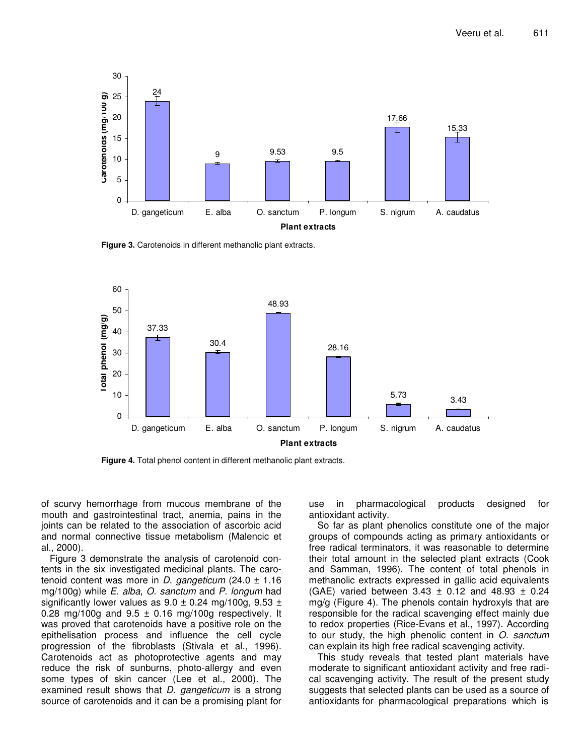

**Figure 3.** Carotenoids in different methanolic plant extracts.



**Figure 4.** Total phenol content in different methanolic plant extracts.

of scurvy hemorrhage from mucous membrane of the mouth and gastrointestinal tract, anemia, pains in the joints can be related to the association of ascorbic acid and normal connective tissue metabolism (Malencic et al., 2000).

Figure 3 demonstrate the analysis of carotenoid contents in the six investigated medicinal plants. The carotenoid content was more in *D*. *gangeticum* (24.0 ± 1.16 mg/100g) while *E*. *alba*, *O*. *sanctum* and *P*. *longum* had significantly lower values as  $9.0 \pm 0.24$  mg/100g,  $9.53 \pm 1.5$ 0.28 mg/100g and  $9.5 \pm 0.16$  mg/100g respectively. It was proved that carotenoids have a positive role on the epithelisation process and influence the cell cycle progression of the fibroblasts (Stivala et al., 1996). Carotenoids act as photoprotective agents and may reduce the risk of sunburns, photo-allergy and even some types of skin cancer (Lee et al., 2000). The examined result shows that *D*. *gangeticum* is a strong source of carotenoids and it can be a promising plant for

use in pharmacological products designed for antioxidant activity.

So far as plant phenolics constitute one of the major groups of compounds acting as primary antioxidants or free radical terminators, it was reasonable to determine their total amount in the selected plant extracts (Cook and Samman, 1996). The content of total phenols in methanolic extracts expressed in gallic acid equivalents (GAE) varied between  $3.43 \pm 0.12$  and  $48.93 \pm 0.24$ mg/g (Figure 4). The phenols contain hydroxyls that are responsible for the radical scavenging effect mainly due to redox properties (Rice-Evans et al., 1997). According to our study, the high phenolic content in *O*. *sanctum* can explain its high free radical scavenging activity.

This study reveals that tested plant materials have moderate to significant antioxidant activity and free radical scavenging activity. The result of the present study suggests that selected plants can be used as a source of antioxidants for pharmacological preparations which is